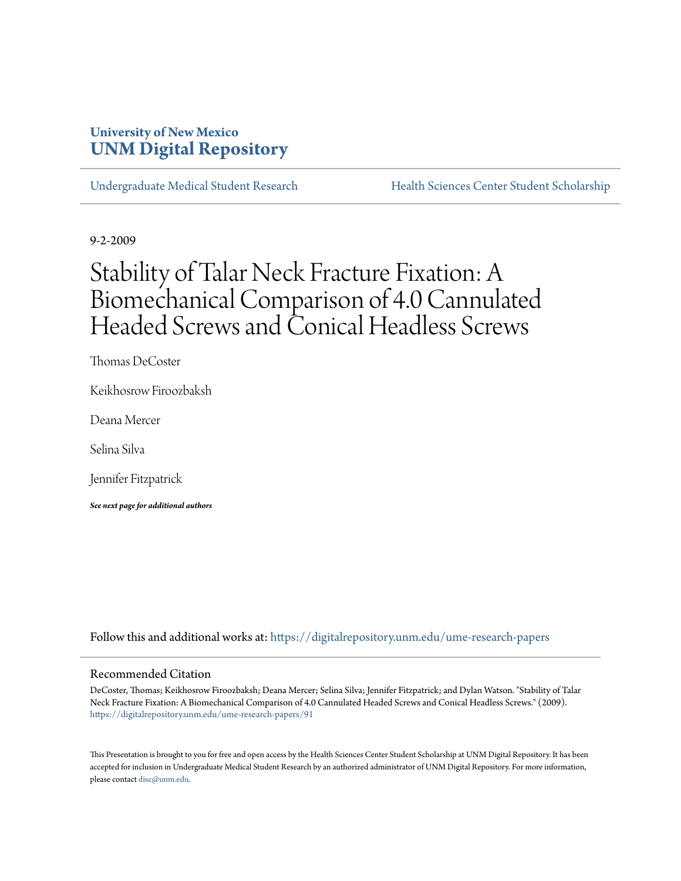### **University of New Mexico [UNM Digital Repository](https://digitalrepository.unm.edu?utm_source=digitalrepository.unm.edu%2Fume-research-papers%2F91&utm_medium=PDF&utm_campaign=PDFCoverPages)**

[Undergraduate Medical Student Research](https://digitalrepository.unm.edu/ume-research-papers?utm_source=digitalrepository.unm.edu%2Fume-research-papers%2F91&utm_medium=PDF&utm_campaign=PDFCoverPages) [Health Sciences Center Student Scholarship](https://digitalrepository.unm.edu/hsc-students?utm_source=digitalrepository.unm.edu%2Fume-research-papers%2F91&utm_medium=PDF&utm_campaign=PDFCoverPages)

9-2-2009

## Stability of Talar Neck Fracture Fixation: A Biomechanical Comparison of 4.0 Cannulated Headed Screws and Conical Headless Screws

Thomas DeCoster

Keikhosrow Firoozbaksh

Deana Mercer

Selina Silva

Jennifer Fitzpatrick

*See next page for additional authors*

Follow this and additional works at: [https://digitalrepository.unm.edu/ume-research-papers](https://digitalrepository.unm.edu/ume-research-papers?utm_source=digitalrepository.unm.edu%2Fume-research-papers%2F91&utm_medium=PDF&utm_campaign=PDFCoverPages)

#### Recommended Citation

DeCoster, Thomas; Keikhosrow Firoozbaksh; Deana Mercer; Selina Silva; Jennifer Fitzpatrick; and Dylan Watson. "Stability of Talar Neck Fracture Fixation: A Biomechanical Comparison of 4.0 Cannulated Headed Screws and Conical Headless Screws." (2009). [https://digitalrepository.unm.edu/ume-research-papers/91](https://digitalrepository.unm.edu/ume-research-papers/91?utm_source=digitalrepository.unm.edu%2Fume-research-papers%2F91&utm_medium=PDF&utm_campaign=PDFCoverPages)

This Presentation is brought to you for free and open access by the Health Sciences Center Student Scholarship at UNM Digital Repository. It has been accepted for inclusion in Undergraduate Medical Student Research by an authorized administrator of UNM Digital Repository. For more information, please contact [disc@unm.edu.](mailto:disc@unm.edu)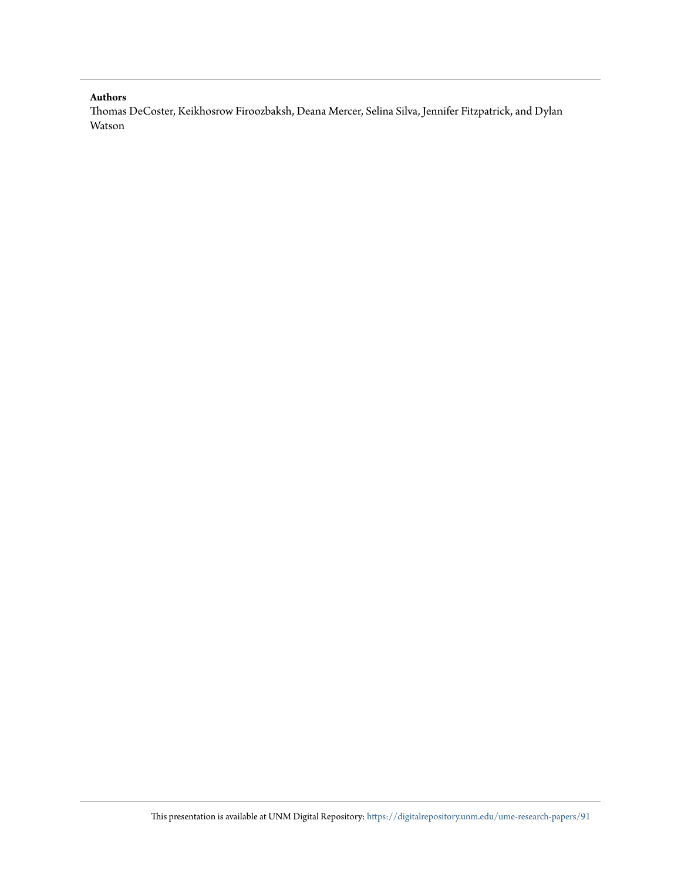#### **Authors**

Thomas DeCoster, Keikhosrow Firoozbaksh, Deana Mercer, Selina Silva, Jennifer Fitzpatrick, and Dylan Watson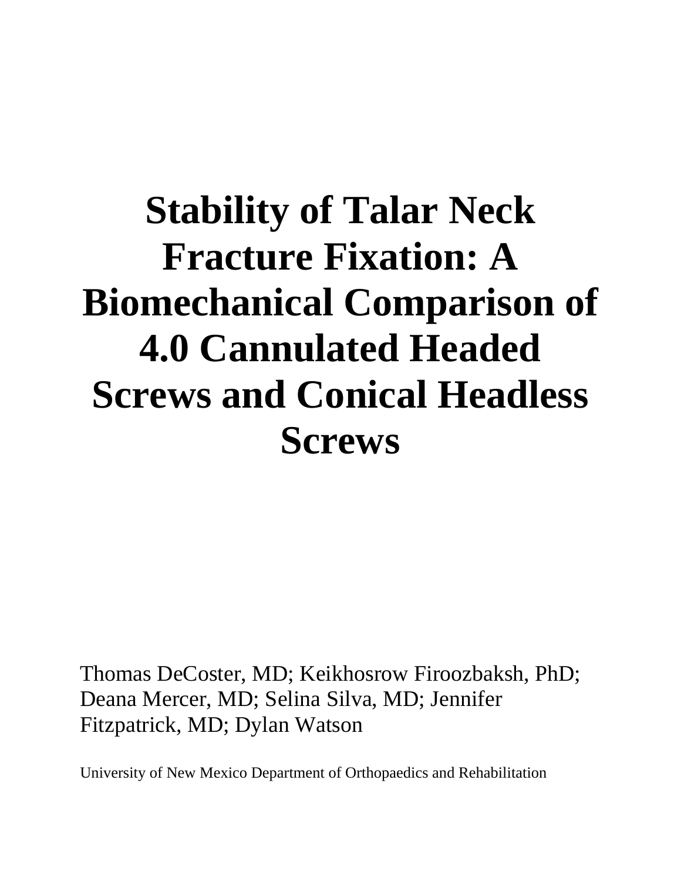# **Stability of Talar Neck Fracture Fixation: A Biomechanical Comparison of 4.0 Cannulated Headed Screws and Conical Headless Screws**

Thomas DeCoster, MD; Keikhosrow Firoozbaksh, PhD; Deana Mercer, MD; Selina Silva, MD; Jennifer Fitzpatrick, MD; Dylan Watson

University of New Mexico Department of Orthopaedics and Rehabilitation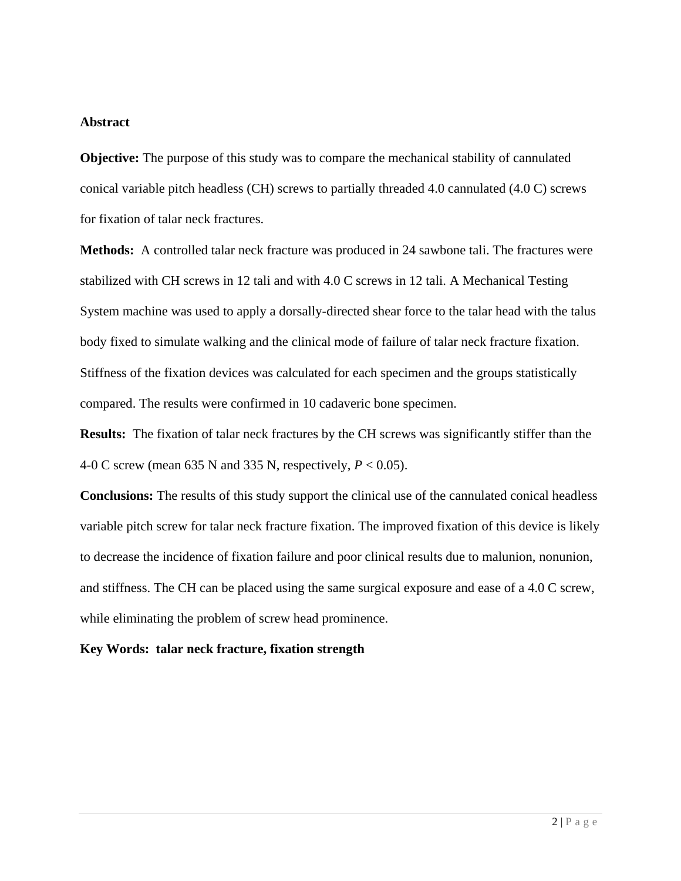#### **Abstract**

**Objective:** The purpose of this study was to compare the mechanical stability of cannulated conical variable pitch headless (CH) screws to partially threaded 4.0 cannulated (4.0 C) screws for fixation of talar neck fractures.

**Methods:** A controlled talar neck fracture was produced in 24 sawbone tali. The fractures were stabilized with CH screws in 12 tali and with 4.0 C screws in 12 tali. A Mechanical Testing System machine was used to apply a dorsally-directed shear force to the talar head with the talus body fixed to simulate walking and the clinical mode of failure of talar neck fracture fixation. Stiffness of the fixation devices was calculated for each specimen and the groups statistically compared. The results were confirmed in 10 cadaveric bone specimen.

**Results:** The fixation of talar neck fractures by the CH screws was significantly stiffer than the 4-0 C screw (mean 635 N and 335 N, respectively, *P* < 0.05).

**Conclusions:** The results of this study support the clinical use of the cannulated conical headless variable pitch screw for talar neck fracture fixation. The improved fixation of this device is likely to decrease the incidence of fixation failure and poor clinical results due to malunion, nonunion, and stiffness. The CH can be placed using the same surgical exposure and ease of a 4.0 C screw, while eliminating the problem of screw head prominence.

#### **Key Words: talar neck fracture, fixation strength**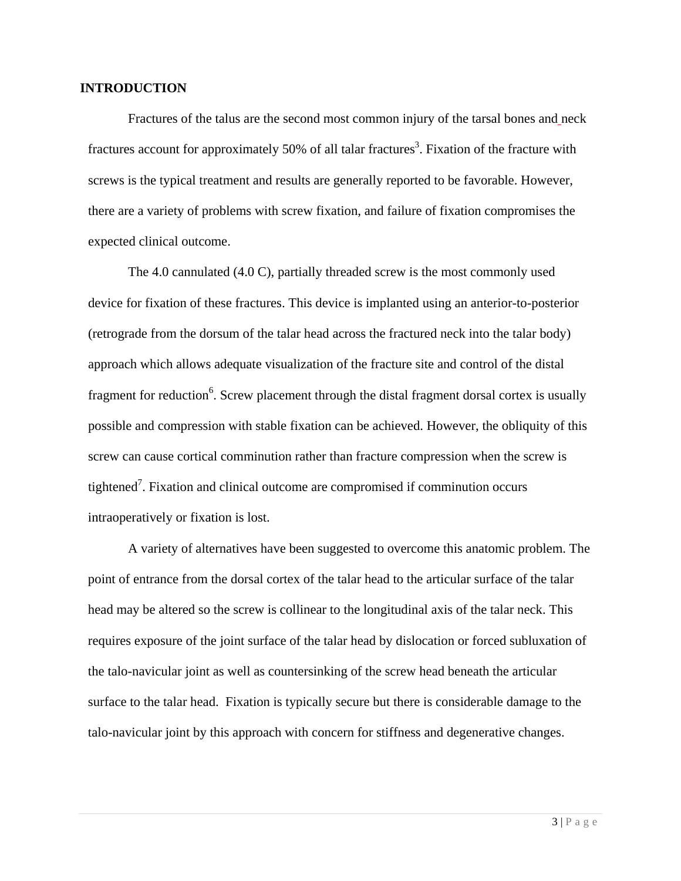#### **INTRODUCTION**

Fractures of the talus are the second most common injury of the tarsal bones and neck fractures account for approximately 50% of all talar fractures<sup>3</sup>. Fixation of the fracture with screws is the typical treatment and results are generally reported to be favorable. However, there are a variety of problems with screw fixation, and failure of fixation compromises the expected clinical outcome.

The 4.0 cannulated (4.0 C), partially threaded screw is the most commonly used device for fixation of these fractures. This device is implanted using an anterior-to-posterior (retrograde from the dorsum of the talar head across the fractured neck into the talar body) approach which allows adequate visualization of the fracture site and control of the distal fragment for reduction<sup>6</sup>. Screw placement through the distal fragment dorsal cortex is usually possible and compression with stable fixation can be achieved. However, the obliquity of this screw can cause cortical comminution rather than fracture compression when the screw is tightened<sup>7</sup>. Fixation and clinical outcome are compromised if comminution occurs intraoperatively or fixation is lost.

A variety of alternatives have been suggested to overcome this anatomic problem. The point of entrance from the dorsal cortex of the talar head to the articular surface of the talar head may be altered so the screw is collinear to the longitudinal axis of the talar neck. This requires exposure of the joint surface of the talar head by dislocation or forced subluxation of the talo-navicular joint as well as countersinking of the screw head beneath the articular surface to the talar head. Fixation is typically secure but there is considerable damage to the talo-navicular joint by this approach with concern for stiffness and degenerative changes.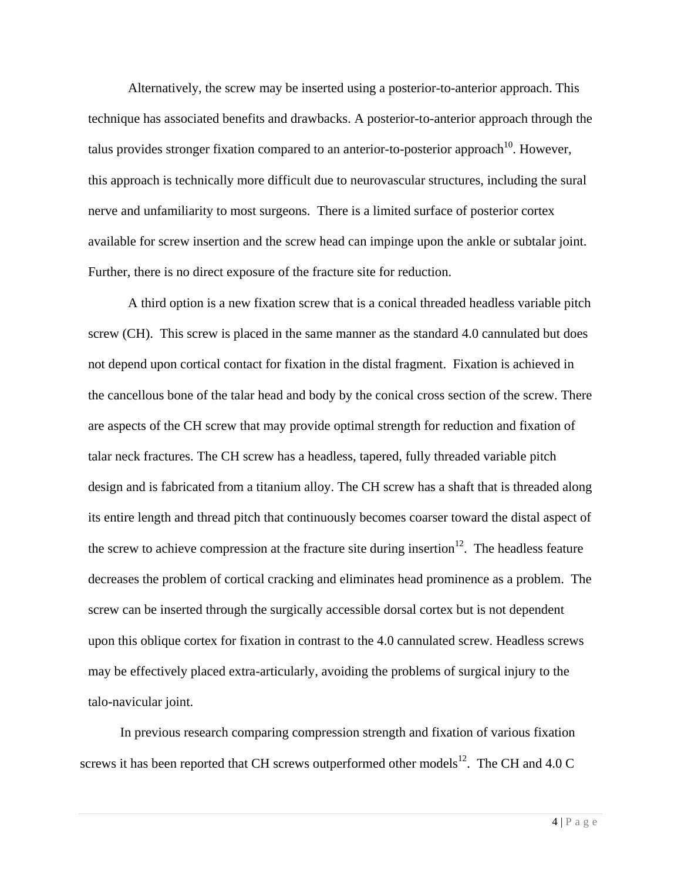Alternatively, the screw may be inserted using a posterior-to-anterior approach. This technique has associated benefits and drawbacks. A posterior-to-anterior approach through the talus provides stronger fixation compared to an anterior-to-posterior approach<sup>10</sup>. However, this approach is technically more difficult due to neurovascular structures, including the sural nerve and unfamiliarity to most surgeons. There is a limited surface of posterior cortex available for screw insertion and the screw head can impinge upon the ankle or subtalar joint. Further, there is no direct exposure of the fracture site for reduction.

A third option is a new fixation screw that is a conical threaded headless variable pitch screw (CH). This screw is placed in the same manner as the standard 4.0 cannulated but does not depend upon cortical contact for fixation in the distal fragment. Fixation is achieved in the cancellous bone of the talar head and body by the conical cross section of the screw. There are aspects of the CH screw that may provide optimal strength for reduction and fixation of talar neck fractures. The CH screw has a headless, tapered, fully threaded variable pitch design and is fabricated from a titanium alloy. The CH screw has a shaft that is threaded along its entire length and thread pitch that continuously becomes coarser toward the distal aspect of the screw to achieve compression at the fracture site during insertion $12$ . The headless feature decreases the problem of cortical cracking and eliminates head prominence as a problem. The screw can be inserted through the surgically accessible dorsal cortex but is not dependent upon this oblique cortex for fixation in contrast to the 4.0 cannulated screw. Headless screws may be effectively placed extra-articularly, avoiding the problems of surgical injury to the talo-navicular joint.

In previous research comparing compression strength and fixation of various fixation screws it has been reported that CH screws outperformed other models<sup>12</sup>. The CH and 4.0 C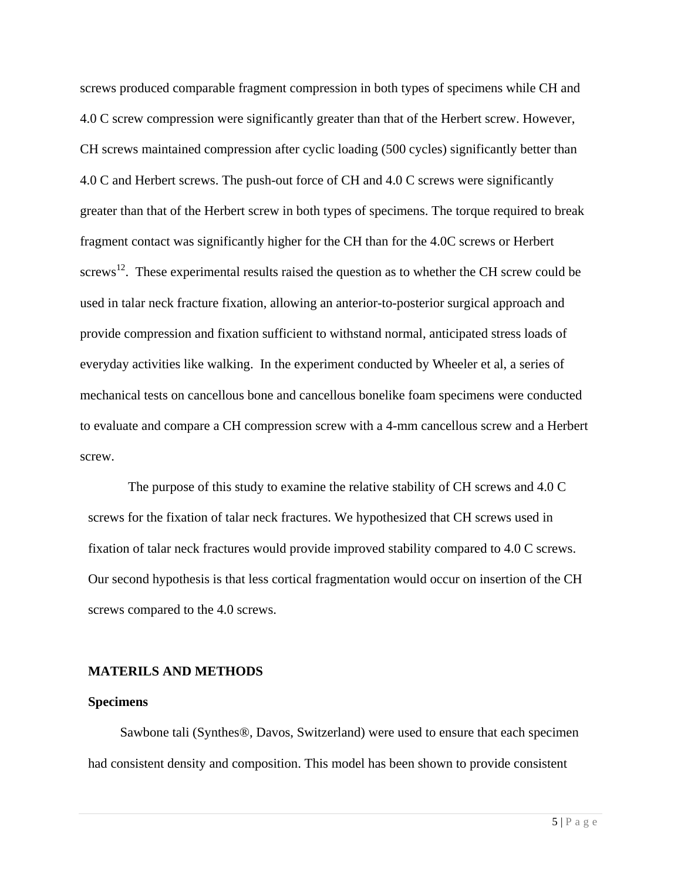screws produced comparable fragment compression in both types of specimens while CH and 4.0 C screw compression were significantly greater than that of the Herbert screw. However, CH screws maintained compression after cyclic loading (500 cycles) significantly better than 4.0 C and Herbert screws. The push-out force of CH and 4.0 C screws were significantly greater than that of the Herbert screw in both types of specimens. The torque required to break fragment contact was significantly higher for the CH than for the 4.0C screws or Herbert screws<sup>12</sup>. These experimental results raised the question as to whether the CH screw could be used in talar neck fracture fixation, allowing an anterior-to-posterior surgical approach and provide compression and fixation sufficient to withstand normal, anticipated stress loads of everyday activities like walking. In the experiment conducted by Wheeler et al, a series of mechanical tests on cancellous bone and cancellous bonelike foam specimens were conducted to evaluate and compare a CH compression screw with a 4-mm cancellous screw and a Herbert screw.

The purpose of this study to examine the relative stability of CH screws and 4.0 C screws for the fixation of talar neck fractures. We hypothesized that CH screws used in fixation of talar neck fractures would provide improved stability compared to 4.0 C screws. Our second hypothesis is that less cortical fragmentation would occur on insertion of the CH screws compared to the 4.0 screws.

#### **MATERILS AND METHODS**

#### **Specimens**

Sawbone tali (Synthes®, Davos, Switzerland) were used to ensure that each specimen had consistent density and composition. This model has been shown to provide consistent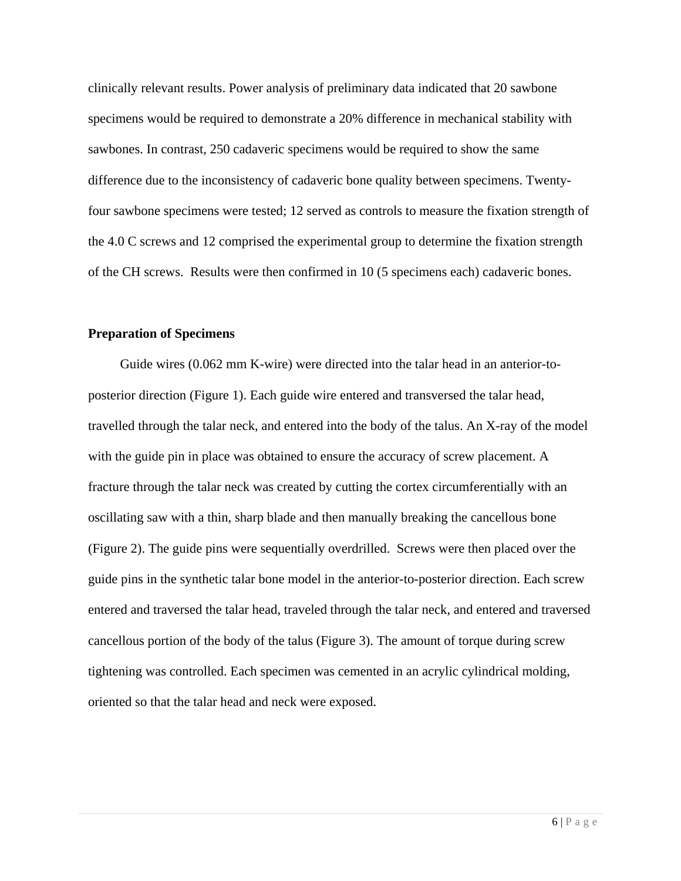clinically relevant results. Power analysis of preliminary data indicated that 20 sawbone specimens would be required to demonstrate a 20% difference in mechanical stability with sawbones. In contrast, 250 cadaveric specimens would be required to show the same difference due to the inconsistency of cadaveric bone quality between specimens. Twentyfour sawbone specimens were tested; 12 served as controls to measure the fixation strength of the 4.0 C screws and 12 comprised the experimental group to determine the fixation strength of the CH screws. Results were then confirmed in 10 (5 specimens each) cadaveric bones.

#### **Preparation of Specimens**

Guide wires (0.062 mm K-wire) were directed into the talar head in an anterior-toposterior direction (Figure 1). Each guide wire entered and transversed the talar head, travelled through the talar neck, and entered into the body of the talus. An X-ray of the model with the guide pin in place was obtained to ensure the accuracy of screw placement. A fracture through the talar neck was created by cutting the cortex circumferentially with an oscillating saw with a thin, sharp blade and then manually breaking the cancellous bone (Figure 2). The guide pins were sequentially overdrilled. Screws were then placed over the guide pins in the synthetic talar bone model in the anterior-to-posterior direction. Each screw entered and traversed the talar head, traveled through the talar neck, and entered and traversed cancellous portion of the body of the talus (Figure 3). The amount of torque during screw tightening was controlled. Each specimen was cemented in an acrylic cylindrical molding, oriented so that the talar head and neck were exposed.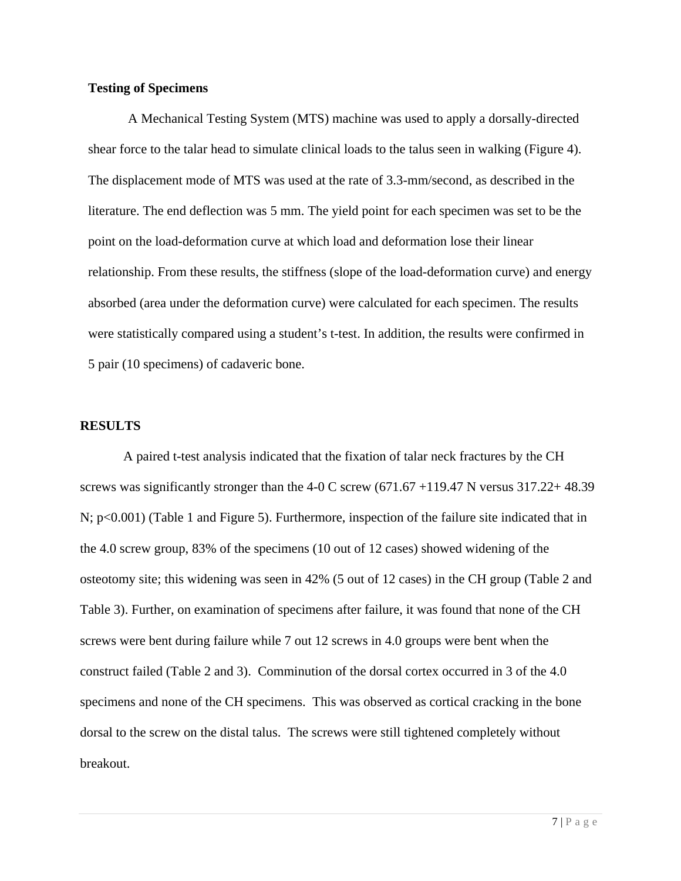#### **Testing of Specimens**

A Mechanical Testing System (MTS) machine was used to apply a dorsally-directed shear force to the talar head to simulate clinical loads to the talus seen in walking (Figure 4). The displacement mode of MTS was used at the rate of 3.3-mm/second, as described in the literature. The end deflection was 5 mm. The yield point for each specimen was set to be the point on the load-deformation curve at which load and deformation lose their linear relationship. From these results, the stiffness (slope of the load-deformation curve) and energy absorbed (area under the deformation curve) were calculated for each specimen. The results were statistically compared using a student's t-test. In addition, the results were confirmed in 5 pair (10 specimens) of cadaveric bone.

#### **RESULTS**

 A paired t-test analysis indicated that the fixation of talar neck fractures by the CH screws was significantly stronger than the 4-0 C screw  $(671.67 + 119.47 \text{ N}$  versus 317.22+ 48.39 N; p<0.001) (Table 1 and Figure 5). Furthermore, inspection of the failure site indicated that in the 4.0 screw group, 83% of the specimens (10 out of 12 cases) showed widening of the osteotomy site; this widening was seen in 42% (5 out of 12 cases) in the CH group (Table 2 and Table 3). Further, on examination of specimens after failure, it was found that none of the CH screws were bent during failure while 7 out 12 screws in 4.0 groups were bent when the construct failed (Table 2 and 3). Comminution of the dorsal cortex occurred in 3 of the 4.0 specimens and none of the CH specimens. This was observed as cortical cracking in the bone dorsal to the screw on the distal talus. The screws were still tightened completely without breakout.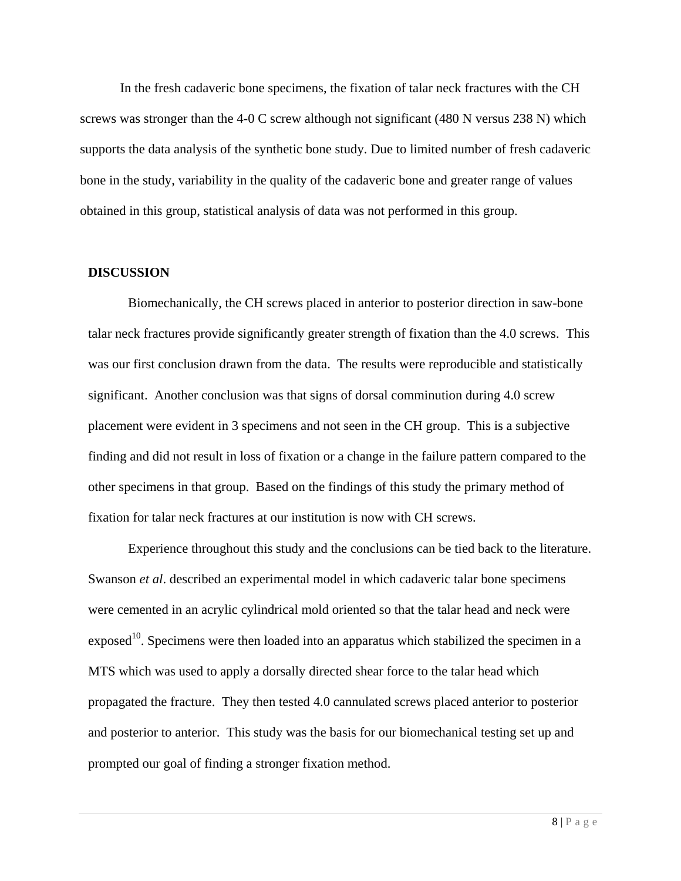In the fresh cadaveric bone specimens, the fixation of talar neck fractures with the CH screws was stronger than the 4-0 C screw although not significant (480 N versus 238 N) which supports the data analysis of the synthetic bone study. Due to limited number of fresh cadaveric bone in the study, variability in the quality of the cadaveric bone and greater range of values obtained in this group, statistical analysis of data was not performed in this group.

#### **DISCUSSION**

Biomechanically, the CH screws placed in anterior to posterior direction in saw-bone talar neck fractures provide significantly greater strength of fixation than the 4.0 screws. This was our first conclusion drawn from the data. The results were reproducible and statistically significant. Another conclusion was that signs of dorsal comminution during 4.0 screw placement were evident in 3 specimens and not seen in the CH group. This is a subjective finding and did not result in loss of fixation or a change in the failure pattern compared to the other specimens in that group. Based on the findings of this study the primary method of fixation for talar neck fractures at our institution is now with CH screws.

Experience throughout this study and the conclusions can be tied back to the literature. Swanson *et al*. described an experimental model in which cadaveric talar bone specimens were cemented in an acrylic cylindrical mold oriented so that the talar head and neck were  $\alpha$  exposed<sup>10</sup>. Specimens were then loaded into an apparatus which stabilized the specimen in a MTS which was used to apply a dorsally directed shear force to the talar head which propagated the fracture. They then tested 4.0 cannulated screws placed anterior to posterior and posterior to anterior. This study was the basis for our biomechanical testing set up and prompted our goal of finding a stronger fixation method.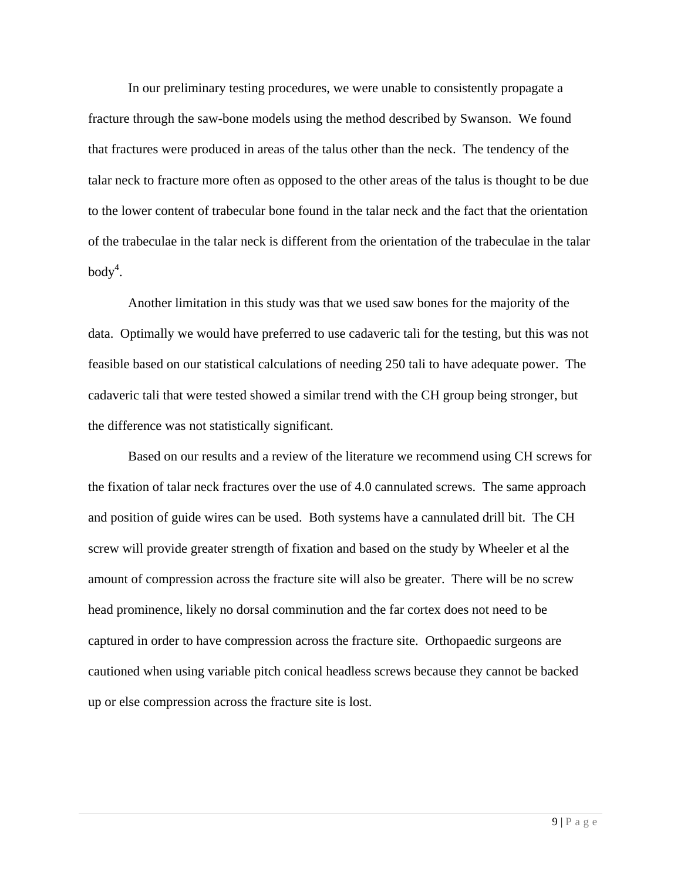In our preliminary testing procedures, we were unable to consistently propagate a fracture through the saw-bone models using the method described by Swanson. We found that fractures were produced in areas of the talus other than the neck. The tendency of the talar neck to fracture more often as opposed to the other areas of the talus is thought to be due to the lower content of trabecular bone found in the talar neck and the fact that the orientation of the trabeculae in the talar neck is different from the orientation of the trabeculae in the talar  $body<sup>4</sup>$ .

Another limitation in this study was that we used saw bones for the majority of the data. Optimally we would have preferred to use cadaveric tali for the testing, but this was not feasible based on our statistical calculations of needing 250 tali to have adequate power. The cadaveric tali that were tested showed a similar trend with the CH group being stronger, but the difference was not statistically significant.

Based on our results and a review of the literature we recommend using CH screws for the fixation of talar neck fractures over the use of 4.0 cannulated screws. The same approach and position of guide wires can be used. Both systems have a cannulated drill bit. The CH screw will provide greater strength of fixation and based on the study by Wheeler et al the amount of compression across the fracture site will also be greater. There will be no screw head prominence, likely no dorsal comminution and the far cortex does not need to be captured in order to have compression across the fracture site. Orthopaedic surgeons are cautioned when using variable pitch conical headless screws because they cannot be backed up or else compression across the fracture site is lost.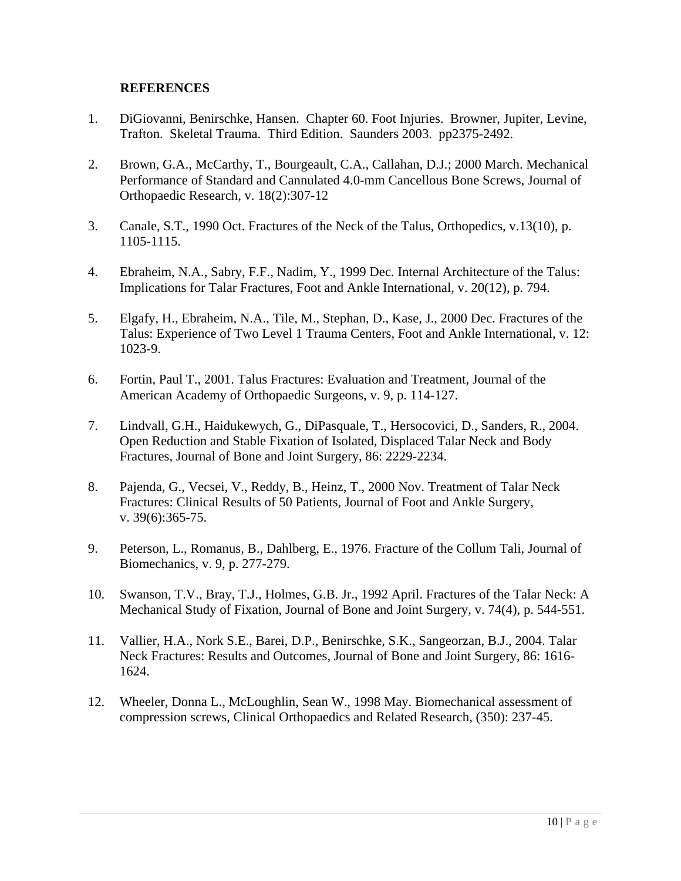#### **REFERENCES**

- 1. DiGiovanni, Benirschke, Hansen. Chapter 60. Foot Injuries. Browner, Jupiter, Levine, Trafton. Skeletal Trauma. Third Edition. Saunders 2003. pp2375-2492.
- 2. Brown, G.A., McCarthy, T., Bourgeault, C.A., Callahan, D.J.; 2000 March. Mechanical Performance of Standard and Cannulated 4.0-mm Cancellous Bone Screws, Journal of Orthopaedic Research, v. 18(2):307-12
- 3. Canale, S.T., 1990 Oct. Fractures of the Neck of the Talus, Orthopedics, v.13(10), p. 1105-1115.
- 4. Ebraheim, N.A., Sabry, F.F., Nadim, Y., 1999 Dec. Internal Architecture of the Talus: Implications for Talar Fractures, Foot and Ankle International, v. 20(12), p. 794.
- 5. Elgafy, H., Ebraheim, N.A., Tile, M., Stephan, D., Kase, J., 2000 Dec. Fractures of the Talus: Experience of Two Level 1 Trauma Centers, Foot and Ankle International, v. 12: 1023-9.
- 6. Fortin, Paul T., 2001. Talus Fractures: Evaluation and Treatment, Journal of the American Academy of Orthopaedic Surgeons, v. 9, p. 114-127.
- 7. Lindvall, G.H., Haidukewych, G., DiPasquale, T., Hersocovici, D., Sanders, R., 2004. Open Reduction and Stable Fixation of Isolated, Displaced Talar Neck and Body Fractures, Journal of Bone and Joint Surgery, 86: 2229-2234.
- 8. Pajenda, G., Vecsei, V., Reddy, B., Heinz, T., 2000 Nov. Treatment of Talar Neck Fractures: Clinical Results of 50 Patients, Journal of Foot and Ankle Surgery, v. 39(6):365-75.
- 9. Peterson, L., Romanus, B., Dahlberg, E., 1976. Fracture of the Collum Tali, Journal of Biomechanics, v. 9, p. 277-279.
- 10. Swanson, T.V., Bray, T.J., Holmes, G.B. Jr., 1992 April. Fractures of the Talar Neck: A Mechanical Study of Fixation, Journal of Bone and Joint Surgery, v. 74(4), p. 544-551.
- 11. Vallier, H.A., Nork S.E., Barei, D.P., Benirschke, S.K., Sangeorzan, B.J., 2004. Talar Neck Fractures: Results and Outcomes, Journal of Bone and Joint Surgery, 86: 1616- 1624.
- 12. Wheeler, Donna L., McLoughlin, Sean W., 1998 May. Biomechanical assessment of compression screws, Clinical Orthopaedics and Related Research, (350): 237-45.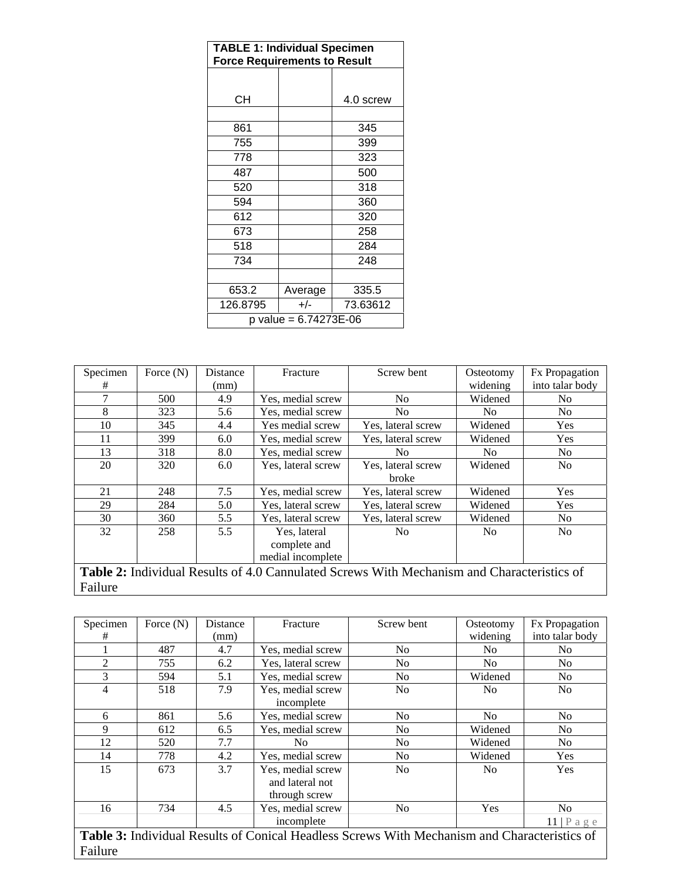| <b>TABLE 1: Individual Specimen</b><br><b>Force Requirements to Result</b> |         |           |  |  |  |  |
|----------------------------------------------------------------------------|---------|-----------|--|--|--|--|
|                                                                            |         |           |  |  |  |  |
| CН                                                                         |         | 4.0 screw |  |  |  |  |
| 861                                                                        |         | 345       |  |  |  |  |
| 755                                                                        |         | 399       |  |  |  |  |
| 778                                                                        |         | 323       |  |  |  |  |
| 487                                                                        |         | 500       |  |  |  |  |
| 520                                                                        |         | 318       |  |  |  |  |
| 594                                                                        |         | 360       |  |  |  |  |
| 612                                                                        |         | 320       |  |  |  |  |
| 673                                                                        |         | 258       |  |  |  |  |
| 518                                                                        |         | 284       |  |  |  |  |
| 734                                                                        |         | 248       |  |  |  |  |
|                                                                            |         |           |  |  |  |  |
| 653.2                                                                      | Average | 335.5     |  |  |  |  |
| 126.8795                                                                   | $+/-$   | 73.63612  |  |  |  |  |
| p value = 6.74273E-06                                                      |         |           |  |  |  |  |

| Specimen                                                                                    | Force $(N)$ | Distance | Fracture           | Screw bent         | Osteotomy      | <b>Fx</b> Propagation |  |
|---------------------------------------------------------------------------------------------|-------------|----------|--------------------|--------------------|----------------|-----------------------|--|
| #                                                                                           |             | (mm)     |                    |                    | widening       | into talar body       |  |
| 7                                                                                           | 500         | 4.9      | Yes, medial screw  | No.                | Widened        | No.                   |  |
| 8                                                                                           | 323         | 5.6      | Yes, medial screw  | No.                | No.            | No.                   |  |
| 10                                                                                          | 345         | 4.4      | Yes medial screw   | Yes, lateral screw | Widened        | <b>Yes</b>            |  |
| 11                                                                                          | 399         | 6.0      | Yes, medial screw  | Yes, lateral screw | Widened        | Yes                   |  |
| 13                                                                                          | 318         | 8.0      | Yes, medial screw  | No.                | No.            | No.                   |  |
| 20                                                                                          | 320         | 6.0      | Yes, lateral screw | Yes, lateral screw | Widened        | N <sub>o</sub>        |  |
|                                                                                             |             |          |                    | broke              |                |                       |  |
| 21                                                                                          | 248         | 7.5      | Yes, medial screw  | Yes, lateral screw | Widened        | Yes                   |  |
| 29                                                                                          | 284         | 5.0      | Yes, lateral screw | Yes, lateral screw | Widened        | Yes                   |  |
| 30                                                                                          | 360         | 5.5      | Yes, lateral screw | Yes, lateral screw | Widened        | N <sub>0</sub>        |  |
| 32                                                                                          | 258         | 5.5      | Yes, lateral       | N <sub>0</sub>     | N <sub>0</sub> | <b>No</b>             |  |
|                                                                                             |             |          | complete and       |                    |                |                       |  |
|                                                                                             |             |          | medial incomplete  |                    |                |                       |  |
| Toble 2. Individual Decults of 4.0 Convulcted Service With Mechanism and Characteristics of |             |          |                    |                    |                |                       |  |

**Table 2:** Individual Results of 4.0 Cannulated Screws With Mechanism and Characteristics of Failure

| Specimen                                                                                            | Force $(N)$ | Distance | Fracture           | Screw bent     | Osteotomy      | <b>Fx</b> Propagation           |  |
|-----------------------------------------------------------------------------------------------------|-------------|----------|--------------------|----------------|----------------|---------------------------------|--|
| #                                                                                                   |             | (mm)     |                    |                | widening       | into talar body                 |  |
|                                                                                                     | 487         | 4.7      | Yes, medial screw  | No             | N <sub>0</sub> | No                              |  |
| $\overline{2}$                                                                                      | 755         | 6.2      | Yes, lateral screw | No             | No.            | No                              |  |
| 3                                                                                                   | 594         | 5.1      | Yes, medial screw  | No             | Widened        | No                              |  |
| $\overline{4}$                                                                                      | 518         | 7.9      | Yes, medial screw  | No             | N <sub>0</sub> | N <sub>0</sub>                  |  |
|                                                                                                     |             |          | incomplete         |                |                |                                 |  |
| 6                                                                                                   | 861         | 5.6      | Yes, medial screw  | N <sub>0</sub> | N <sub>0</sub> | No                              |  |
| 9                                                                                                   | 612         | 6.5      | Yes, medial screw  | N <sub>0</sub> | Widened        | No                              |  |
| 12                                                                                                  | 520         | 7.7      | N <sub>0</sub>     | N <sub>0</sub> | Widened        | No.                             |  |
| 14                                                                                                  | 778         | 4.2      | Yes, medial screw  | N <sub>0</sub> | Widened        | <b>Yes</b>                      |  |
| 15                                                                                                  | 673         | 3.7      | Yes, medial screw  | N <sub>0</sub> | N <sub>0</sub> | <b>Yes</b>                      |  |
|                                                                                                     |             |          | and lateral not    |                |                |                                 |  |
|                                                                                                     |             |          | through screw      |                |                |                                 |  |
| 16                                                                                                  | 734         | 4.5      | Yes, medial screw  | N <sub>0</sub> | <b>Yes</b>     | N <sub>0</sub>                  |  |
|                                                                                                     |             |          | incomplete         |                |                | $11   P \text{ a } g \text{ e}$ |  |
| <b>Table 3:</b> Individual Results of Conical Headless Screws With Mechanism and Characteristics of |             |          |                    |                |                |                                 |  |
| Failure                                                                                             |             |          |                    |                |                |                                 |  |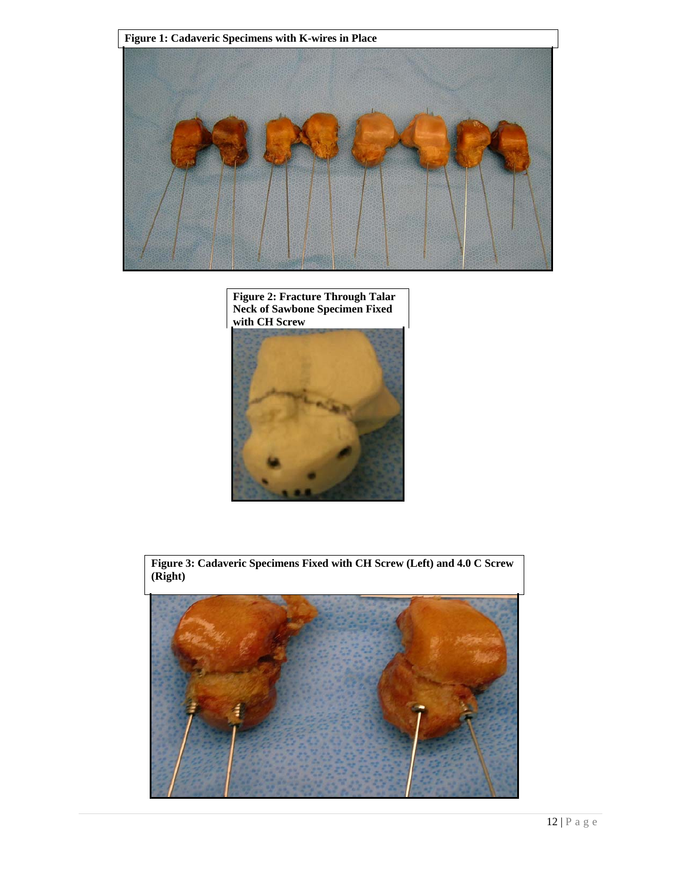





**Figure 3: Cadaveric Specimens Fixed with CH Screw (Left) and 4.0 C Screw (Right)**